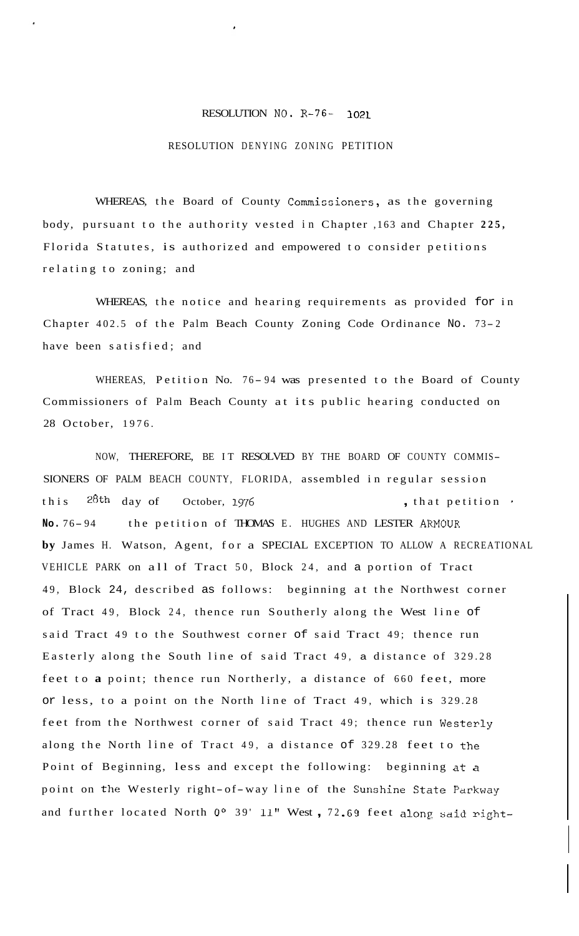## RESOLUTION NO- R-76- **1021**

## RESOLUTION DENYING ZONING PETITION

WHEREAS, the Board of County Commissioners, as the governing body, pursuant to the authority vested in Chapter ,163 and Chapter **225,**  Florida Statutes, is authorized and empowered to consider petitions relating to zoning; and

WHEREAS, the notice and hearing requirements as provided for in Chapter 402.5 of the Palm Beach County Zoning Code Ordinance No. 73-2 have been satisfied; and

WHEREAS, Petition No. 76-94 was presented to the Board of County Commissioners of Palm Beach County at its public hearing conducted on 28 October, 1976.

NOW, THEREFORE, BE IT RESOLVED BY THE BOARD OF COUNTY COMMIS-SIONERS OF PALM BEACH COUNTY, FLORIDA, assembled in regular session this <sup>28th</sup> day of October, 1976 **,** that petition No. 76-94 the petition of THOMAS E. HUGHES AND LESTER ARMOUR **by** James H. Watson, Agent, for a SPECIAL EXCEPTION TO ALLOW A RECREATIONAL VEHICLE PARK on all of Tract 50, Block 24, and a portion of Tract 49, Block 24, described as follows: beginning at the Northwest corner of Tract 49, Block 24, thence run Southerly along the West line of said Tract 49 to the Southwest corner of said Tract 49; thence run Easterly along the South line of said Tract 49, a distance of 329.28 feet to **a** point; thence run Northerly, a distance of 660 feet, more or less, to a point on the North line of Tract 49, which is 329.28 feet from the Northwest corner of said Tract 49; thence run Westerly along the North line of Tract 49, a distance of 329.28 feet to the Point of Beginning, less and except the following: beginning at a point on the Westerly right-of-way line of the Sunshine State Parkway and further located North *Oo* 39' 11" West , 72 .G9 feet along said right-